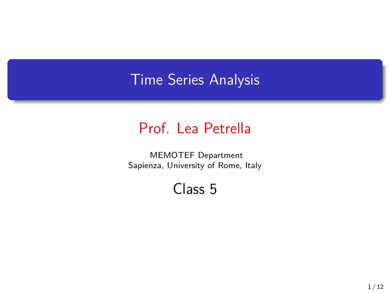## Time Series Analysis

## Prof. Lea Petrella

MEMOTEF Department Sapienza, University of Rome, Italy

Class 5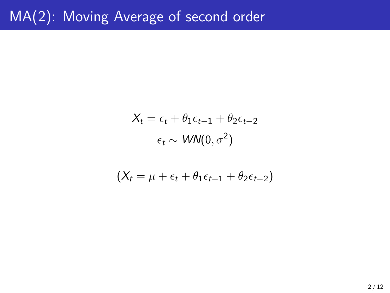$$
X_t = \epsilon_t + \theta_1 \epsilon_{t-1} + \theta_2 \epsilon_{t-2}
$$

$$
\epsilon_t \sim \text{WN}(0, \sigma^2)
$$

$$
(X_t = \mu + \epsilon_t + \theta_1 \epsilon_{t-1} + \theta_2 \epsilon_{t-2})
$$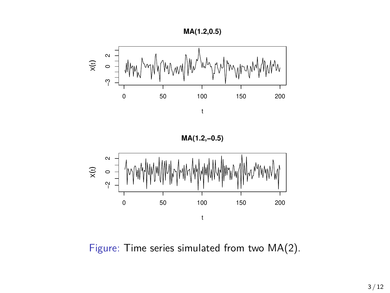





Figure: Time series simulated from two MA(2).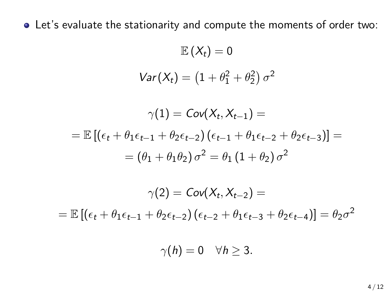Let's evaluate the stationarity and compute the moments of order two:

 $\mathbb{E}(X_t)=0$  $Var(X_t) = (1 + \theta_1^2 + \theta_2^2) \sigma^2$  $\gamma(1) = Cov(X_t, X_{t-1}) =$  $= \mathbb{E} \left[ (\epsilon_t + \theta_1 \epsilon_{t-1} + \theta_2 \epsilon_{t-2}) (\epsilon_{t-1} + \theta_1 \epsilon_{t-2} + \theta_2 \epsilon_{t-3}) \right] =$  $=(\theta_1+\theta_1\theta_2)\,\sigma^2=\theta_1\,(1+\theta_2)\,\sigma^2$ 

$$
\gamma(2) = Cov(X_t, X_{t-2}) =
$$
  
=  $\mathbb{E}[(\epsilon_t + \theta_1 \epsilon_{t-1} + \theta_2 \epsilon_{t-2})(\epsilon_{t-2} + \theta_1 \epsilon_{t-3} + \theta_2 \epsilon_{t-4})] = \theta_2 \sigma^2$ 

 $\gamma(h) = 0 \quad \forall h \geq 3.$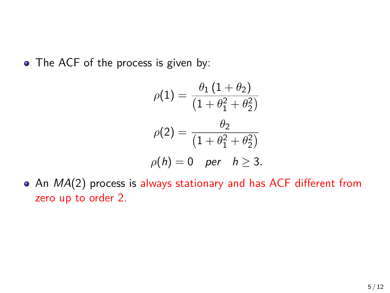• The ACF of the process is given by:

$$
\rho(1) = \frac{\theta_1 (1 + \theta_2)}{(1 + \theta_1^2 + \theta_2^2)}
$$

$$
\rho(2) = \frac{\theta_2}{(1 + \theta_1^2 + \theta_2^2)}
$$

$$
\rho(h) = 0 \quad \text{per} \quad h \ge 3.
$$

An *MA*(2) process is always stationary and has ACF different from zero up to order 2.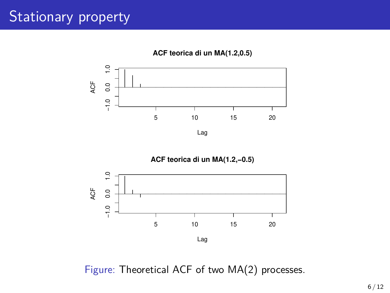## Stationary property





Figure: Theoretical ACF of two MA(2) processes.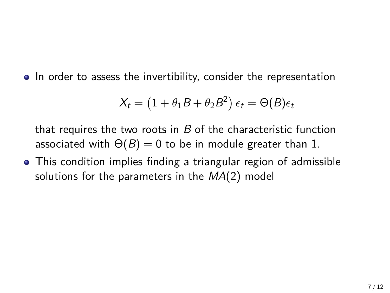• In order to assess the invertibility, consider the representation

$$
X_t = (1 + \theta_1 B + \theta_2 B^2) \epsilon_t = \Theta(B)\epsilon_t
$$

that requires the two roots in *B* of the characteristic function associated with  $\Theta(B) = 0$  to be in module greater than 1.

This condition implies finding a triangular region of admissible solutions for the parameters in the *MA*(2) model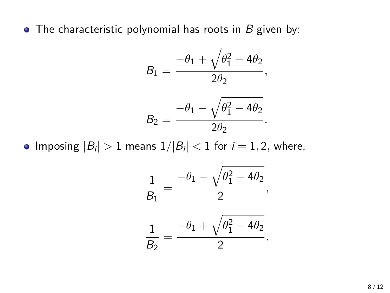The characteristic polynomial has roots in *B* given by:

$$
B_1 = \frac{-\theta_1 + \sqrt{\theta_1^2 - 4\theta_2}}{2\theta_2},
$$

$$
\mathcal{B}_2=\frac{-\theta_1-\sqrt{\theta_1^2-4\theta_2}}{2\theta_2}.
$$

 $\lfloor \text{Imposing } |B_i| > 1 \text{ means } 1/|B_i| < 1 \text{ for } i = 1, 2, \text{ where,}$ 

$$
\frac{1}{B_1} = \frac{-\theta_1 - \sqrt{\theta_1^2 - 4\theta_2}}{2},
$$

$$
\frac{1}{B_2} = \frac{-\theta_1 + \sqrt{\theta_1^2 - 4\theta_2}}{2}.
$$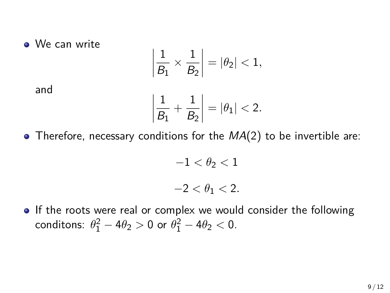## We can write

$$
\frac{1}{B_1} \times \frac{1}{B_2} = |\theta_2| < 1,
$$

and

$$
\frac{1}{B_1} + \frac{1}{B_2} = |\theta_1| < 2.
$$

Therefore, necessary conditions for the *MA*(2) to be invertible are:

 $\begin{array}{c} \hline \end{array}$  $\left| \right|$  $\frac{1}{2}$  $\bigg|$ 

 $\begin{array}{c} \hline \end{array}$  $\left| \right|$  $\mathbf{I}$  $\bigg|$ 

> $-1 < \theta_2 < 1$ *−*2 *< θ*<sup>1</sup> *<* 2*.*

• If the roots were real or complex we would consider the following conditons:  $\theta_1^2 - 4\theta_2 > 0$  or  $\theta_1^2 - 4\theta_2 < 0$ .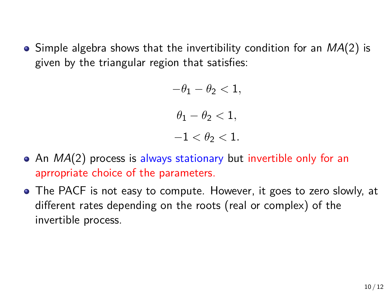$\bullet$  Simple algebra shows that the invertibility condition for an  $MA(2)$  is given by the triangular region that satisfies:

> $-\theta_1 - \theta_2 < 1$  $\theta_1 - \theta_2 < 1$ ,  $-1 < \theta_2 < 1$ .

- An *MA*(2) process is always stationary but invertible only for an aprropriate choice of the parameters.
- The PACF is not easy to compute. However, it goes to zero slowly, at different rates depending on the roots (real or complex) of the invertible process.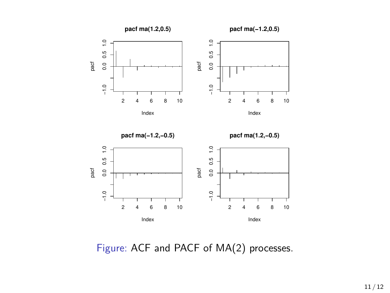

Figure: ACF and PACF of MA(2) processes.